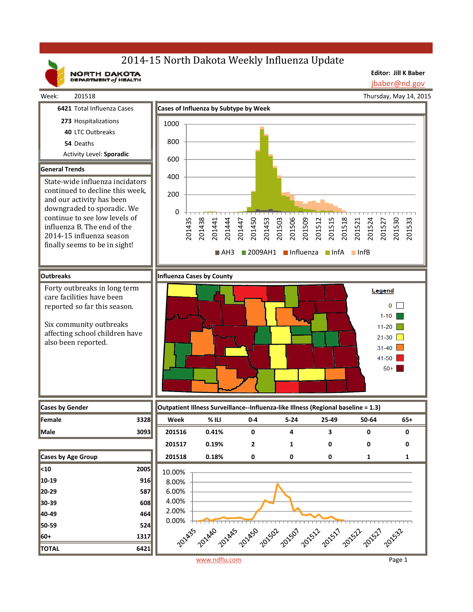# 2014-15 North Dakota Weekly Influenza Update

NORTH DAKOTA

**Editor: Jill K Baber** jbaber@nd.gov

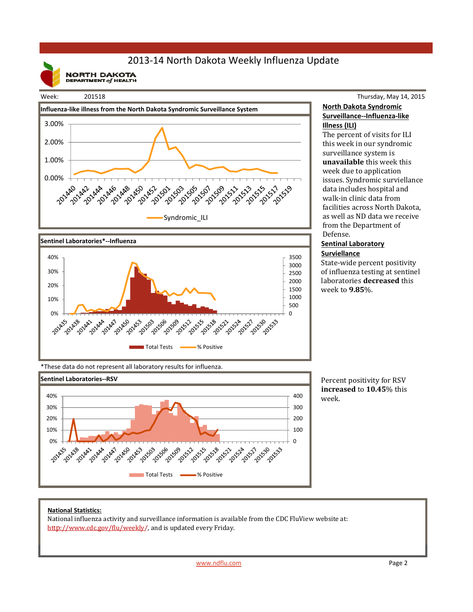## 2013‐14 North Dakota Weekly Influenza Update

**NORTH DAKOTA**<br>DEPARTMENT of HEALTH

#### Week: 201518





### Thursday, May 14, 2015 **North Dakota Syndromic Surveillance‐‐Influenza‐like Illness (ILI)**

The percent of visits for ILI this week in our syndromic surveillance system is **unavailable** this week this week due to application issues. Syndromic surviellance data includes hospital and walk-in clinic data from facilities across North Dakota, as well as ND data we receive from the Department of Defense. 

#### **Sentinal Laboratory Surviellance**

State-wide percent positivity of influenza testing at sentinel laboratories **decreased** this week to **9.85**%. 

\*These data do not represent all laboratory results for influenza.



Percent positivity for RSV **increased** to **10.45**% this week.

#### **National Statistics:**

National influenza activity and surveillance information is available from the CDC FluView website at: http://www.cdc.gov/flu/weekly/, and is updated every Friday.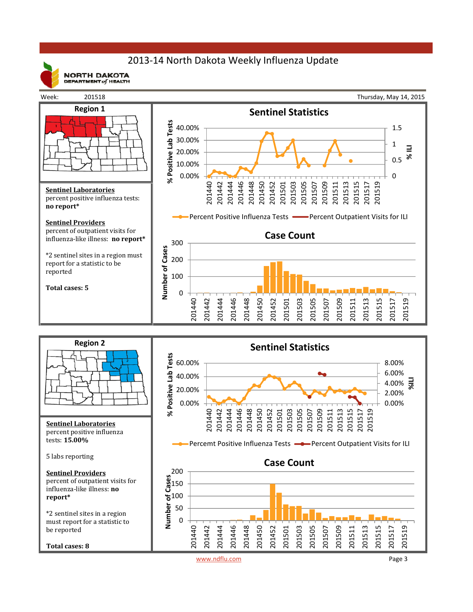## 2013‐14 North Dakota Weekly Influenza Update



**NORTH DAKOTA** DEPARTMENT  $of$  HEALTH